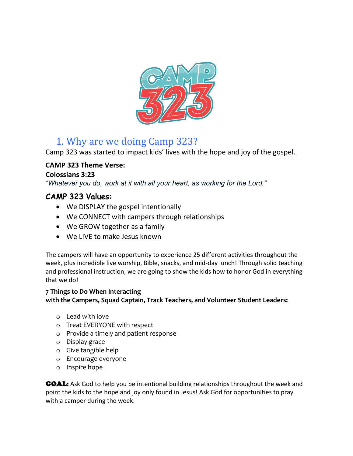

## 1. Why are we doing Camp 323?

Camp 323 was started to impact kids' lives with the hope and joy of the gospel.

### **CAMP 323 Theme Verse:**

### **Colossians 3:23**

*"Whatever you do, work at it with all your heart, as working for the Lord."*

### CAMP 323 Values:

- We DISPLAY the gospel intentionally
- We CONNECT with campers through relationships
- We GROW together as a family
- We LIVE to make Jesus known

The campers will have an opportunity to experience 25 different activities throughout the week, plus incredible live worship, Bible, snacks, and mid-day lunch! Through solid teaching and professional instruction, we are going to show the kids how to honor God in everything that we do!

### **7 Things to Do When Interacting with the Campers, Squad Captain, Track Teachers, and Volunteer Student Leaders:**

- o Lead with love
- o Treat EVERYONE with respect
- o Provide a timely and patient response
- o Display grace
- o Give tangible help
- o Encourage everyone
- o Inspire hope

GOAL: Ask God to help you be intentional building relationships throughout the week and point the kids to the hope and joy only found in Jesus! Ask God for opportunities to pray with a camper during the week.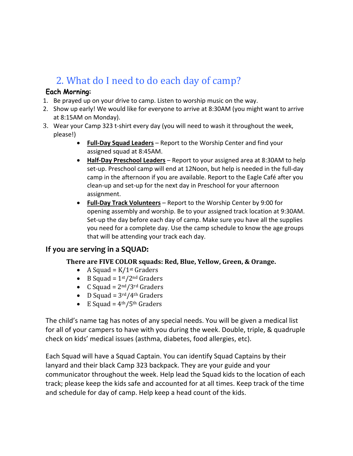# 2. What do I need to do each day of camp?

### Each Morning:

- 1. Be prayed up on your drive to camp. Listen to worship music on the way.
- 2. Show up early! We would like for everyone to arrive at 8:30AM (you might want to arrive at 8:15AM on Monday).
- 3. Wear your Camp 323 t-shirt every day (you will need to wash it throughout the week, please!)
	- **Full-Day Squad Leaders** Report to the Worship Center and find your assigned squad at 8:45AM.
	- **Half-Day Preschool Leaders** Report to your assigned area at 8:30AM to help set-up. Preschool camp will end at 12Noon, but help is needed in the full-day camp in the afternoon if you are available. Report to the Eagle Café after you clean-up and set-up for the next day in Preschool for your afternoon assignment.
	- **Full-Day Track Volunteers** Report to the Worship Center by 9:00 for opening assembly and worship. Be to your assigned track location at 9:30AM. Set-up the day before each day of camp. Make sure you have all the supplies you need for a complete day. Use the camp schedule to know the age groups that will be attending your track each day.

### **If you are serving in a SQUAD:**

#### There are FIVE COLOR squads: Red, Blue, Yellow, Green, & Orange.

- A Squad =  $K/1$ <sup>st</sup> Graders
- B Squad =  $1<sup>st</sup>/2<sup>nd</sup>$  Graders
- C Squad =  $2^{nd}/3^{rd}$  Graders
- D Squad =  $3<sup>rd</sup>/4<sup>th</sup>$  Graders
- E Squad =  $4<sup>th</sup>/5<sup>th</sup>$  Graders

The child's name tag has notes of any special needs. You will be given a medical list for all of your campers to have with you during the week. Double, triple, & quadruple check on kids' medical issues (asthma, diabetes, food allergies, etc).

Each Squad will have a Squad Captain. You can identify Squad Captains by their lanyard and their black Camp 323 backpack. They are your guide and your communicator throughout the week. Help lead the Squad kids to the location of each track; please keep the kids safe and accounted for at all times. Keep track of the time and schedule for day of camp. Help keep a head count of the kids.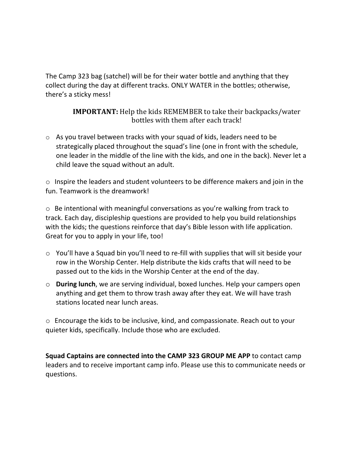The Camp 323 bag (satchel) will be for their water bottle and anything that they collect during the day at different tracks. ONLY WATER in the bottles; otherwise, there's a sticky mess!

> **IMPORTANT:** Help the kids REMEMBER to take their backpacks/water bottles with them after each track!

o As you travel between tracks with your squad of kids, leaders need to be strategically placed throughout the squad's line (one in front with the schedule, one leader in the middle of the line with the kids, and one in the back). Never let a child leave the squad without an adult.

o Inspire the leaders and student volunteers to be difference makers and join in the fun. Teamwork is the dreamwork!

o Be intentional with meaningful conversations as you're walking from track to track. Each day, discipleship questions are provided to help you build relationships with the kids; the questions reinforce that day's Bible lesson with life application. Great for you to apply in your life, too!

- o You'll have a Squad bin you'll need to re-fill with supplies that will sit beside your row in the Worship Center. Help distribute the kids crafts that will need to be passed out to the kids in the Worship Center at the end of the day.
- o **During lunch**, we are serving individual, boxed lunches. Help your campers open anything and get them to throw trash away after they eat. We will have trash stations located near lunch areas.

o Encourage the kids to be inclusive, kind, and compassionate. Reach out to your quieter kids, specifically. Include those who are excluded.

**Squad Captains are connected into the CAMP 323 GROUP ME APP** to contact camp leaders and to receive important camp info. Please use this to communicate needs or questions.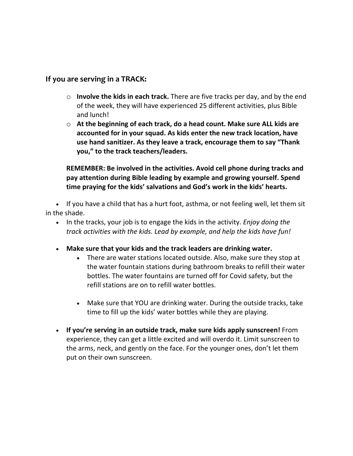### **If you are serving in a TRACK:**

- o **Involve the kids in each track.** There are five tracks per day, and by the end of the week, they will have experienced 25 different activities, plus Bible and lunch!
- o **At the beginning of each track, do a head count. Make sure ALL kids are accounted for in your squad. As kids enter the new track location, have use hand sanitizer. As they leave a track, encourage them to say "Thank you," to the track teachers/leaders.**

**REMEMBER: Be involved in the activities. Avoid cell phone during tracks and pay attention during Bible leading by example and growing yourself. Spend time praying for the kids' salvations and God's work in the kids' hearts.**

• If you have a child that has a hurt foot, asthma, or not feeling well, let them sit in the shade.

- In the tracks, your job is to engage the kids in the activity. *Enjoy doing the track activities with the kids. Lead by example, and help the kids have fun!*
- **Make sure that your kids and the track leaders are drinking water.**
	- There are water stations located outside. Also, make sure they stop at the water fountain stations during bathroom breaks to refill their water bottles. The water fountains are turned off for Covid safety, but the refill stations are on to refill water bottles.
	- Make sure that YOU are drinking water. During the outside tracks, take time to fill up the kids' water bottles while they are playing.
- **If you're serving in an outside track, make sure kids apply sunscreen!** From experience, they can get a little excited and will overdo it. Limit sunscreen to the arms, neck, and gently on the face. For the younger ones, don't let them put on their own sunscreen.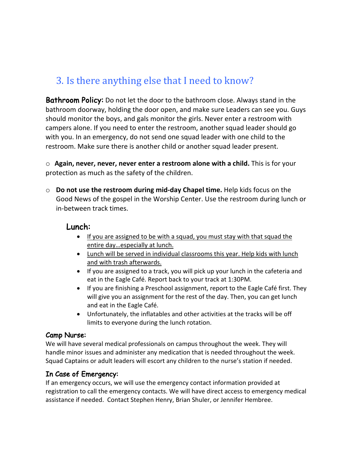## 3. Is there anything else that I need to know?

**Bathroom Policy:** Do not let the door to the bathroom close. Always stand in the bathroom doorway, holding the door open, and make sure Leaders can see you. Guys should monitor the boys, and gals monitor the girls. Never enter a restroom with campers alone. If you need to enter the restroom, another squad leader should go with you. In an emergency, do not send one squad leader with one child to the restroom. Make sure there is another child or another squad leader present.

o **Again, never, never, never enter a restroom alone with a child.** This is for your protection as much as the safety of the children.

o **Do not use the restroom during mid-day Chapel time.** Help kids focus on the Good News of the gospel in the Worship Center. Use the restroom during lunch or in-between track times.

### Lunch:

- If you are assigned to be with a squad, you must stay with that squad the entire day…especially at lunch.
- Lunch will be served in individual classrooms this year. Help kids with lunch and with trash afterwards.
- If you are assigned to a track, you will pick up your lunch in the cafeteria and eat in the Eagle Café. Report back to your track at 1:30PM.
- If you are finishing a Preschool assignment, report to the Eagle Café first. They will give you an assignment for the rest of the day. Then, you can get lunch and eat in the Eagle Café.
- Unfortunately, the inflatables and other activities at the tracks will be off limits to everyone during the lunch rotation.

### Camp Nurse:

We will have several medical professionals on campus throughout the week. They will handle minor issues and administer any medication that is needed throughout the week. Squad Captains or adult leaders will escort any children to the nurse's station if needed.

### In Case of Emergency:

If an emergency occurs, we will use the emergency contact information provided at registration to call the emergency contacts. We will have direct access to emergency medical assistance if needed. Contact Stephen Henry, Brian Shuler, or Jennifer Hembree.